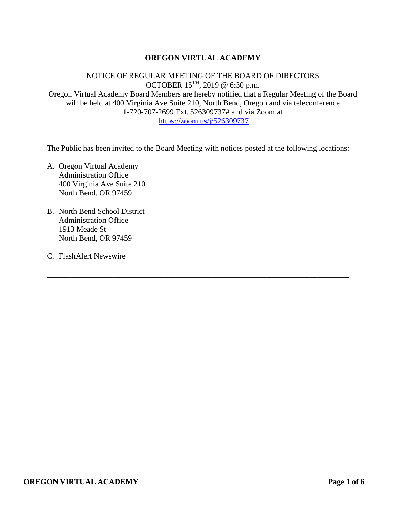## **OREGON VIRTUAL ACADEMY**

\_\_\_\_\_\_\_\_\_\_\_\_\_\_\_\_\_\_\_\_\_\_\_\_\_\_\_\_\_\_\_\_\_\_\_\_\_\_\_\_\_\_\_\_\_\_\_\_\_\_\_\_\_\_\_\_\_\_\_\_\_\_\_\_\_\_\_\_\_\_\_\_\_\_\_\_\_

NOTICE OF REGULAR MEETING OF THE BOARD OF DIRECTORS OCTOBER 15TH, 2019 $\textcircled{e}$ 6:30 p.m. Oregon Virtual Academy Board Members are hereby notified that a Regular Meeting of the Board will be held at 400 Virginia Ave Suite 210, North Bend, Oregon and via teleconference 1-720-707-2699 Ext. 526309737# and via Zoom at <https://zoom.us/j/526309737>

The Public has been invited to the Board Meeting with notices posted at the following locations:

\_\_\_\_\_\_\_\_\_\_\_\_\_\_\_\_\_\_\_\_\_\_\_\_\_\_\_\_\_\_\_\_\_\_\_\_\_\_\_\_\_\_\_\_\_\_\_\_\_\_\_\_\_\_\_\_\_\_\_\_\_\_\_\_\_\_\_\_\_\_\_\_\_\_\_\_\_

\_\_\_\_\_\_\_\_\_\_\_\_\_\_\_\_\_\_\_\_\_\_\_\_\_\_\_\_\_\_\_\_\_\_\_\_\_\_\_\_\_\_\_\_\_\_\_\_\_\_\_\_\_\_\_\_\_\_\_\_\_\_\_\_\_\_\_\_\_\_\_\_\_\_\_\_\_

- A. Oregon Virtual Academy Administration Office 400 Virginia Ave Suite 210 North Bend, OR 97459
- B. North Bend School District Administration Office 1913 Meade St North Bend, OR 97459
- C. FlashAlert Newswire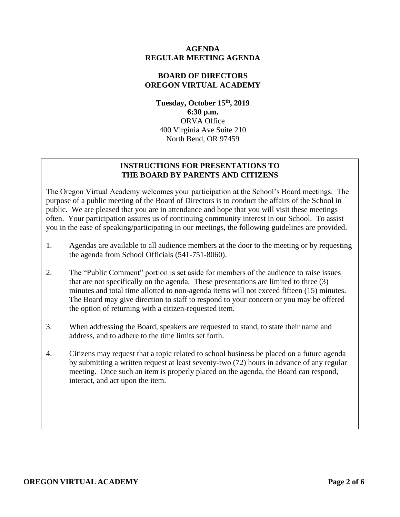## **AGENDA REGULAR MEETING AGENDA**

## **BOARD OF DIRECTORS OREGON VIRTUAL ACADEMY**

**Tuesday, October 15th, 2019 6:30 p.m.** ORVA Office 400 Virginia Ave Suite 210 North Bend, OR 97459

# **INSTRUCTIONS FOR PRESENTATIONS TO THE BOARD BY PARENTS AND CITIZENS**

The Oregon Virtual Academy welcomes your participation at the School's Board meetings. The purpose of a public meeting of the Board of Directors is to conduct the affairs of the School in public. We are pleased that you are in attendance and hope that you will visit these meetings often. Your participation assures us of continuing community interest in our School. To assist you in the ease of speaking/participating in our meetings, the following guidelines are provided.

- 1. Agendas are available to all audience members at the door to the meeting or by requesting the agenda from School Officials (541-751-8060).
- 2. The "Public Comment" portion is set aside for members of the audience to raise issues that are not specifically on the agenda. These presentations are limited to three (3) minutes and total time allotted to non-agenda items will not exceed fifteen (15) minutes. The Board may give direction to staff to respond to your concern or you may be offered the option of returning with a citizen-requested item.
- 3. When addressing the Board, speakers are requested to stand, to state their name and address, and to adhere to the time limits set forth.
- 4. Citizens may request that a topic related to school business be placed on a future agenda by submitting a written request at least seventy-two (72) hours in advance of any regular meeting. Once such an item is properly placed on the agenda, the Board can respond, interact, and act upon the item.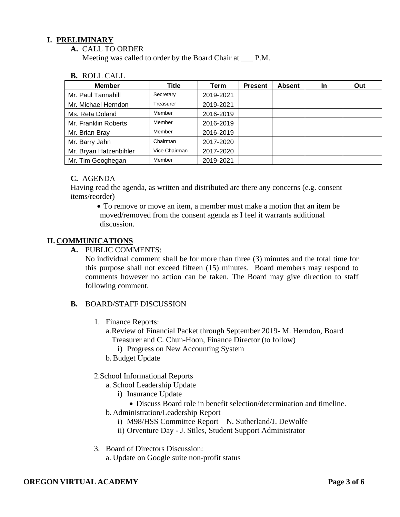## **I. PRELIMINARY**

**A.** CALL TO ORDER

Meeting was called to order by the Board Chair at \_\_\_ P.M.

**B.** ROLL CALL

| <b>Member</b>          | Title         | Term      | <b>Present</b> | <b>Absent</b> | In | Out |
|------------------------|---------------|-----------|----------------|---------------|----|-----|
| Mr. Paul Tannahill     | Secretary     | 2019-2021 |                |               |    |     |
| Mr. Michael Herndon    | Treasurer     | 2019-2021 |                |               |    |     |
| Ms. Reta Doland        | Member        | 2016-2019 |                |               |    |     |
| Mr. Franklin Roberts   | Member        | 2016-2019 |                |               |    |     |
| Mr. Brian Bray         | Member        | 2016-2019 |                |               |    |     |
| Mr. Barry Jahn         | Chairman      | 2017-2020 |                |               |    |     |
| Mr. Bryan Hatzenbihler | Vice Chairman | 2017-2020 |                |               |    |     |
| Mr. Tim Geoghegan      | Member        | 2019-2021 |                |               |    |     |

#### **C.** AGENDA

Having read the agenda, as written and distributed are there any concerns (e.g. consent items/reorder)

• To remove or move an item, a member must make a motion that an item be moved/removed from the consent agenda as I feel it warrants additional discussion.

# **II. COMMUNICATIONS**

**A.** PUBLIC COMMENTS:

No individual comment shall be for more than three (3) minutes and the total time for this purpose shall not exceed fifteen (15) minutes. Board members may respond to comments however no action can be taken. The Board may give direction to staff following comment.

#### **B.** BOARD/STAFF DISCUSSION

- 1. Finance Reports:
	- a.Review of Financial Packet through September 2019- M. Herndon, Board Treasurer and C. Chun-Hoon, Finance Director (to follow)
		- i) Progress on New Accounting System
	- b.Budget Update

# 2.School Informational Reports

- a. School Leadership Update
	- i) Insurance Update
		- Discuss Board role in benefit selection/determination and timeline.
- b. Administration/Leadership Report
	- i) M98/HSS Committee Report N. Sutherland/J. DeWolfe
	- ii) Orventure Day J. Stiles, Student Support Administrator
- 3. Board of Directors Discussion:
	- a. Update on Google suite non-profit status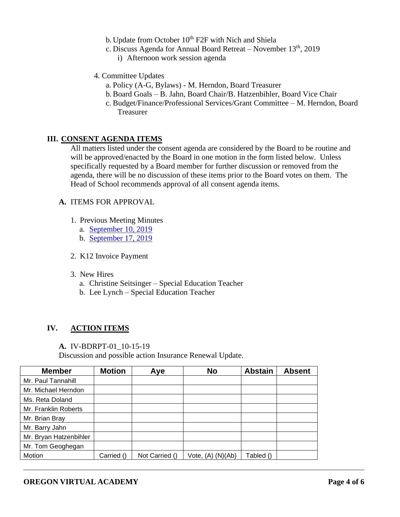- b. Update from October  $10^{th}$  F2F with Nich and Shiela
- c. Discuss Agenda for Annual Board Retreat November  $13<sup>th</sup>$ , 2019
	- i) Afternoon work session agenda
- 4. Committee Updates
	- a. Policy (A-G, Bylaws) M. Herndon, Board Treasurer
	- b.Board Goals B. Jahn, Board Chair/B. Hatzenbihler, Board Vice Chair
	- c. Budget/Finance/Professional Services/Grant Committee M. Herndon, Board Treasurer

## **III. CONSENT AGENDA ITEMS**

All matters listed under the consent agenda are considered by the Board to be routine and will be approved/enacted by the Board in one motion in the form listed below. Unless specifically requested by a Board member for further discussion or removed from the agenda, there will be no discussion of these items prior to the Board votes on them. The Head of School recommends approval of all consent agenda items.

#### **A.** ITEMS FOR APPROVAL

- 1. Previous Meeting Minutes
	- a. [September 10, 2019](https://k12inc-my.sharepoint.com/:b:/g/personal/mecaldwell_oregonva_org/EdMZvF958E9KgZ3qDAxjcTkBBomVAO2T1hHxUAtDn5m27A?e=yHu3P6)
	- b. [September 17, 2019](https://k12inc-my.sharepoint.com/:b:/g/personal/mecaldwell_oregonva_org/ET8UDZEYQiJAo7M6qt3MzvcB-YN8gEiCpHsNPlb62uZMXQ?e=S6zXbt)
- 2. K12 Invoice Payment
- 3. New Hires
	- a. Christine Seitsinger Special Education Teacher
	- b. Lee Lynch Special Education Teacher

# **IV. ACTION ITEMS**

#### **A.** IV-BDRPT-01\_10-15-19

Discussion and possible action Insurance Renewal Update.

| <b>Member</b>          | <b>Motion</b> | Aye            | <b>No</b>         | <b>Abstain</b> | <b>Absent</b> |
|------------------------|---------------|----------------|-------------------|----------------|---------------|
| Mr. Paul Tannahill     |               |                |                   |                |               |
| Mr. Michael Herndon    |               |                |                   |                |               |
| Ms. Reta Doland        |               |                |                   |                |               |
| Mr. Franklin Roberts   |               |                |                   |                |               |
| Mr. Brian Bray         |               |                |                   |                |               |
| Mr. Barry Jahn         |               |                |                   |                |               |
| Mr. Bryan Hatzenbihler |               |                |                   |                |               |
| Mr. Tom Geoghegan      |               |                |                   |                |               |
| Motion                 | Carried ()    | Not Carried () | Vote, (A) (N)(Ab) | Tabled ()      |               |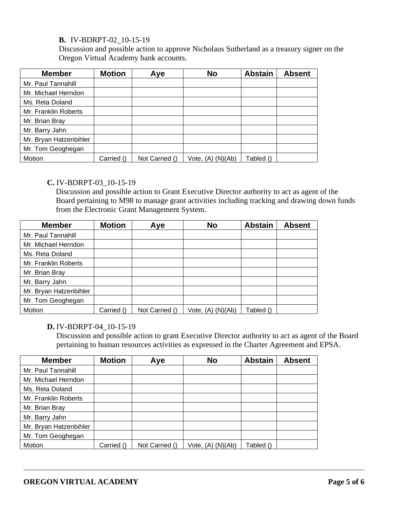## **B.** IV-BDRPT-02\_10-15-19

Discussion and possible action to approve Nicholaus Sutherland as a treasury signer on the Oregon Virtual Academy bank accounts.

| <b>Member</b>          | <b>Motion</b> | Aye            | <b>No</b>             | <b>Abstain</b> | <b>Absent</b> |
|------------------------|---------------|----------------|-----------------------|----------------|---------------|
| Mr. Paul Tannahill     |               |                |                       |                |               |
| Mr. Michael Herndon    |               |                |                       |                |               |
| Ms. Reta Doland        |               |                |                       |                |               |
| Mr. Franklin Roberts   |               |                |                       |                |               |
| Mr. Brian Bray         |               |                |                       |                |               |
| Mr. Barry Jahn         |               |                |                       |                |               |
| Mr. Bryan Hatzenbihler |               |                |                       |                |               |
| Mr. Tom Geoghegan      |               |                |                       |                |               |
| Motion                 | Carried ()    | Not Carried () | Vote, (A).<br>(N)(Ab) | Tabled ()      |               |

#### **C.** IV-BDRPT-03\_10-15-19

Discussion and possible action to Grant Executive Director authority to act as agent of the Board pertaining to M98 to manage grant activities including tracking and drawing down funds from the Electronic Grant Management System.

| <b>Member</b>          | <b>Motion</b> | Aye            | <b>No</b>         | <b>Abstain</b> | <b>Absent</b> |
|------------------------|---------------|----------------|-------------------|----------------|---------------|
| Mr. Paul Tannahill     |               |                |                   |                |               |
| Mr. Michael Herndon    |               |                |                   |                |               |
| Ms. Reta Doland        |               |                |                   |                |               |
| Mr. Franklin Roberts   |               |                |                   |                |               |
| Mr. Brian Bray         |               |                |                   |                |               |
| Mr. Barry Jahn         |               |                |                   |                |               |
| Mr. Bryan Hatzenbihler |               |                |                   |                |               |
| Mr. Tom Geoghegan      |               |                |                   |                |               |
| Motion                 | Carried ()    | Not Carried () | Vote, (A) (N)(Ab) | Tabled ()      |               |

## **D.** IV-BDRPT-04\_10-15-19

Discussion and possible action to grant Executive Director authority to act as agent of the Board pertaining to human resources activities as expressed in the Charter Agreement and EPSA.

| <b>Member</b>          | <b>Motion</b> | Aye            | <b>No</b>             | <b>Abstain</b> | <b>Absent</b> |
|------------------------|---------------|----------------|-----------------------|----------------|---------------|
| Mr. Paul Tannahill     |               |                |                       |                |               |
| Mr. Michael Herndon    |               |                |                       |                |               |
| Ms. Reta Doland        |               |                |                       |                |               |
| Mr. Franklin Roberts   |               |                |                       |                |               |
| Mr. Brian Bray         |               |                |                       |                |               |
| Mr. Barry Jahn         |               |                |                       |                |               |
| Mr. Bryan Hatzenbihler |               |                |                       |                |               |
| Mr. Tom Geoghegan      |               |                |                       |                |               |
| Motion                 | Carried ()    | Not Carried () | Vote, $(A)$ $(N)(Ab)$ | Tabled ()      |               |